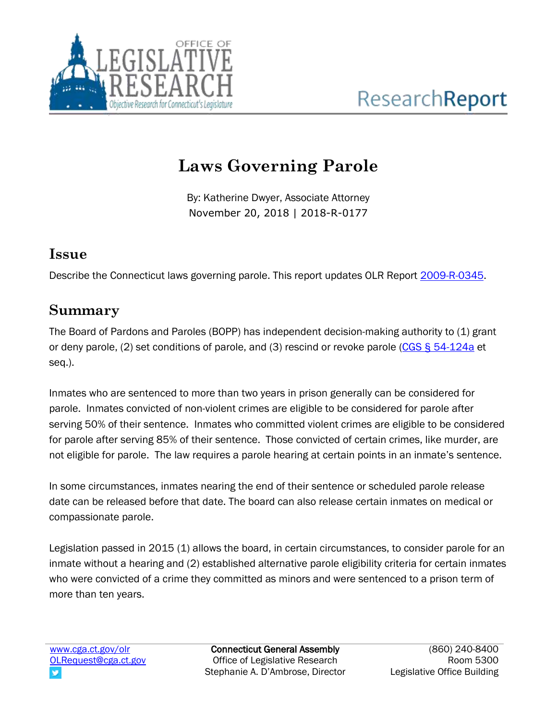

# **Laws Governing Parole**

By: Katherine Dwyer, Associate Attorney November 20, 2018 | 2018-R-0177

### **Issue**

Describe the Connecticut laws governing parole. This report updates OLR Report [2009-R-0345.](https://www.cga.ct.gov/2009/rpt/2009-R-0345.htm)

### **Summary**

The Board of Pardons and Paroles (BOPP) has independent decision-making authority to (1) grant or deny parole, (2) set conditions of parole, and (3) rescind or revoke parole [\(CGS § 54-124a](https://www.cga.ct.gov/current/pub/chap_961.htm#sec_54-124a) et seq.).

Inmates who are sentenced to more than two years in prison generally can be considered for parole. Inmates convicted of non-violent crimes are eligible to be considered for parole after serving 50% of their sentence. Inmates who committed violent crimes are eligible to be considered for parole after serving 85% of their sentence. Those convicted of certain crimes, like murder, are not eligible for parole. The law requires a parole hearing at certain points in an inmate's sentence.

In some circumstances, inmates nearing the end of their sentence or scheduled parole release date can be released before that date. The board can also release certain inmates on medical or compassionate parole.

Legislation passed in 2015 (1) allows the board, in certain circumstances, to consider parole for an inmate without a hearing and (2) established alternative parole eligibility criteria for certain inmates who were convicted of a crime they committed as minors and were sentenced to a prison term of more than ten years.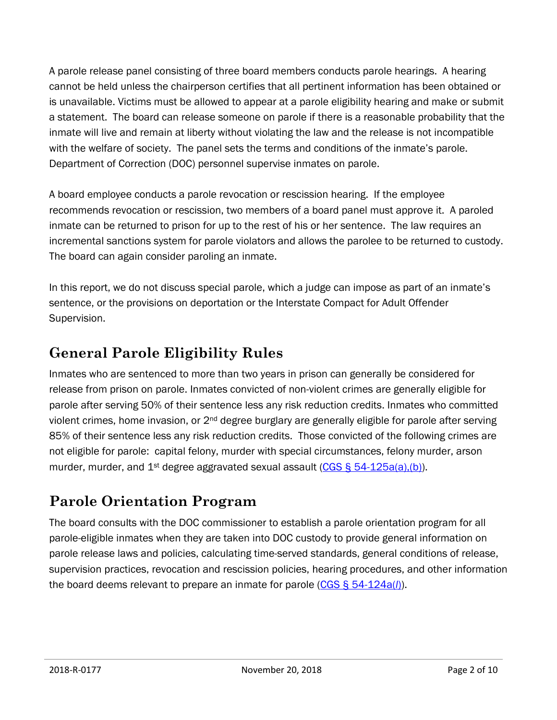A parole release panel consisting of three board members conducts parole hearings. A hearing cannot be held unless the chairperson certifies that all pertinent information has been obtained or is unavailable. Victims must be allowed to appear at a parole eligibility hearing and make or submit a statement. The board can release someone on parole if there is a reasonable probability that the inmate will live and remain at liberty without violating the law and the release is not incompatible with the welfare of society. The panel sets the terms and conditions of the inmate's parole. Department of Correction (DOC) personnel supervise inmates on parole.

A board employee conducts a parole revocation or rescission hearing. If the employee recommends revocation or rescission, two members of a board panel must approve it. A paroled inmate can be returned to prison for up to the rest of his or her sentence. The law requires an incremental sanctions system for parole violators and allows the parolee to be returned to custody. The board can again consider paroling an inmate.

In this report, we do not discuss special parole, which a judge can impose as part of an inmate's sentence, or the provisions on deportation or the Interstate Compact for Adult Offender Supervision.

### **General Parole Eligibility Rules**

Inmates who are sentenced to more than two years in prison can generally be considered for release from prison on parole. Inmates convicted of non-violent crimes are generally eligible for parole after serving 50% of their sentence less any risk reduction credits. Inmates who committed violent crimes, home invasion, or 2<sup>nd</sup> degree burglary are generally eligible for parole after serving 85% of their sentence less any risk reduction credits. Those convicted of the following crimes are not eligible for parole: capital felony, murder with special circumstances, felony murder, arson murder, murder, and 1<sup>st</sup> degree aggravated sexual assault (CGS  $\S$  54-125a(a),(b)).

# **Parole Orientation Program**

The board consults with the DOC commissioner to establish a parole orientation program for all parole-eligible inmates when they are taken into DOC custody to provide general information on parole release laws and policies, calculating time-served standards, general conditions of release, supervision practices, revocation and rescission policies, hearing procedures, and other information the board deems relevant to prepare an inmate for parole [\(CGS § 54-124a\(](https://www.cga.ct.gov/current/pub/chap_961.htm#sec_54-125a)*l*)).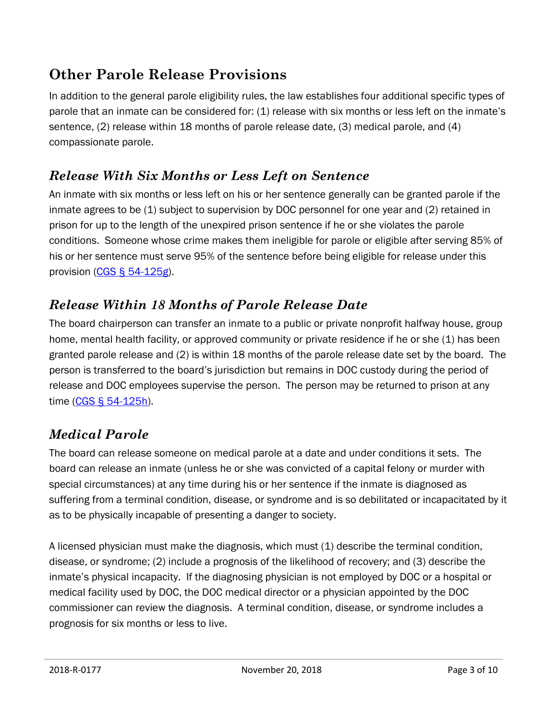# **Other Parole Release Provisions**

In addition to the general parole eligibility rules, the law establishes four additional specific types of parole that an inmate can be considered for: (1) release with six months or less left on the inmate's sentence, (2) release within 18 months of parole release date, (3) medical parole, and (4) compassionate parole.

### *Release With Six Months or Less Left on Sentence*

An inmate with six months or less left on his or her sentence generally can be granted parole if the inmate agrees to be (1) subject to supervision by DOC personnel for one year and (2) retained in prison for up to the length of the unexpired prison sentence if he or she violates the parole conditions. Someone whose crime makes them ineligible for parole or eligible after serving 85% of his or her sentence must serve 95% of the sentence before being eligible for release under this provision [\(CGS § 54-125g\)](https://www.cga.ct.gov/current/pub/chap_961.htm#sec_54-125g).

### *Release Within 18 Months of Parole Release Date*

The board chairperson can transfer an inmate to a public or private nonprofit halfway house, group home, mental health facility, or approved community or private residence if he or she (1) has been granted parole release and (2) is within 18 months of the parole release date set by the board. The person is transferred to the board's jurisdiction but remains in DOC custody during the period of release and DOC employees supervise the person. The person may be returned to prison at any time [\(CGS § 54-125h\)](https://www.cga.ct.gov/current/pub/chap_961.htm#sec_54-125h).

### *Medical Parole*

The board can release someone on medical parole at a date and under conditions it sets. The board can release an inmate (unless he or she was convicted of a capital felony or murder with special circumstances) at any time during his or her sentence if the inmate is diagnosed as suffering from a terminal condition, disease, or syndrome and is so debilitated or incapacitated by it as to be physically incapable of presenting a danger to society.

A licensed physician must make the diagnosis, which must (1) describe the terminal condition, disease, or syndrome; (2) include a prognosis of the likelihood of recovery; and (3) describe the inmate's physical incapacity. If the diagnosing physician is not employed by DOC or a hospital or medical facility used by DOC, the DOC medical director or a physician appointed by the DOC commissioner can review the diagnosis. A terminal condition, disease, or syndrome includes a prognosis for six months or less to live.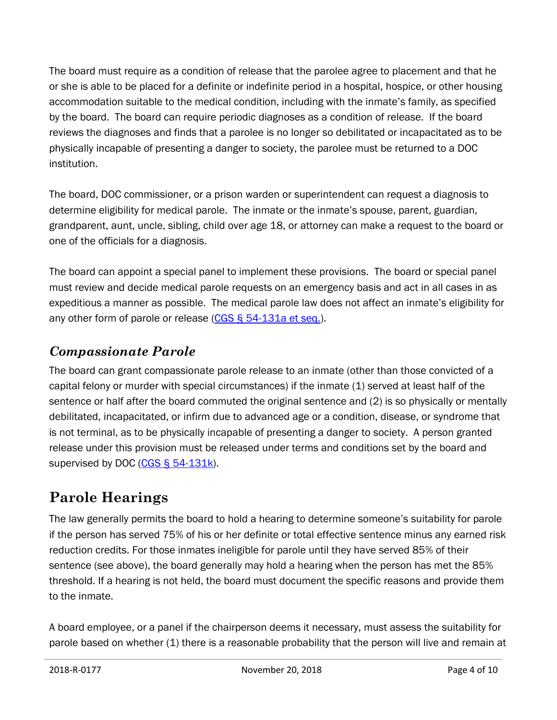The board must require as a condition of release that the parolee agree to placement and that he or she is able to be placed for a definite or indefinite period in a hospital, hospice, or other housing accommodation suitable to the medical condition, including with the inmate's family, as specified by the board. The board can require periodic diagnoses as a condition of release. If the board reviews the diagnoses and finds that a parolee is no longer so debilitated or incapacitated as to be physically incapable of presenting a danger to society, the parolee must be returned to a DOC institution.

The board, DOC commissioner, or a prison warden or superintendent can request a diagnosis to determine eligibility for medical parole. The inmate or the inmate's spouse, parent, guardian, grandparent, aunt, uncle, sibling, child over age 18, or attorney can make a request to the board or one of the officials for a diagnosis.

The board can appoint a special panel to implement these provisions. The board or special panel must review and decide medical parole requests on an emergency basis and act in all cases in as expeditious a manner as possible. The medical parole law does not affect an inmate's eligibility for any other form of parole or release [\(CGS § 54-131a et seq.\)](https://www.cga.ct.gov/current/pub/chap_961.htm#sec_54-131a).

### *Compassionate Parole*

The board can grant compassionate parole release to an inmate (other than those convicted of a capital felony or murder with special circumstances) if the inmate (1) served at least half of the sentence or half after the board commuted the original sentence and (2) is so physically or mentally debilitated, incapacitated, or infirm due to advanced age or a condition, disease, or syndrome that is not terminal, as to be physically incapable of presenting a danger to society. A person granted release under this provision must be released under terms and conditions set by the board and supervised by DOC [\(CGS § 54-131k\)](https://www.cga.ct.gov/current/pub/chap_961.htm#sec_54-131k).

# **Parole Hearings**

The law generally permits the board to hold a hearing to determine someone's suitability for parole if the person has served 75% of his or her definite or total effective sentence minus any earned risk reduction credits. For those inmates ineligible for parole until they have served 85% of their sentence (see above), the board generally may hold a hearing when the person has met the 85% threshold. If a hearing is not held, the board must document the specific reasons and provide them to the inmate.

A board employee, or a panel if the chairperson deems it necessary, must assess the suitability for parole based on whether (1) there is a reasonable probability that the person will live and remain at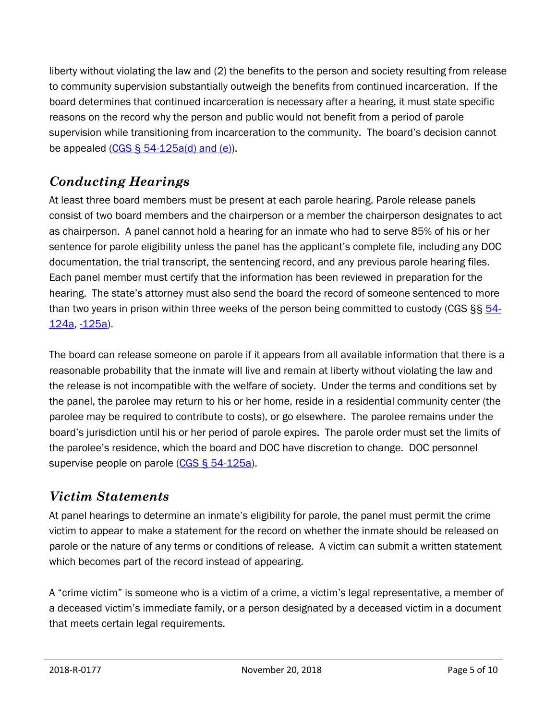liberty without violating the law and (2) the benefits to the person and society resulting from release to community supervision substantially outweigh the benefits from continued incarceration. If the board determines that continued incarceration is necessary after a hearing, it must state specific reasons on the record why the person and public would not benefit from a period of parole supervision while transitioning from incarceration to the community. The board's decision cannot be appealed  $(CGS \S 54-125a(d)$  and  $(e)$ ).

### *Conducting Hearings*

At least three board members must be present at each parole hearing. Parole release panels consist of two board members and the chairperson or a member the chairperson designates to act as chairperson. A panel cannot hold a hearing for an inmate who had to serve 85% of his or her sentence for parole eligibility unless the panel has the applicant's complete file, including any DOC documentation, the trial transcript, the sentencing record, and any previous parole hearing files. Each panel member must certify that the information has been reviewed in preparation for the hearing. The state's attorney must also send the board the record of someone sentenced to more than two years in prison within three weeks of the person being committed to custody (CGS §§ [54-](https://www.cga.ct.gov/current/pub/chap_961.htm#sec_54-124a) [124a,](https://www.cga.ct.gov/current/pub/chap_961.htm#sec_54-124a) [-125a\)](https://www.cga.ct.gov/current/pub/chap_961.htm#sec_54-125a).

The board can release someone on parole if it appears from all available information that there is a reasonable probability that the inmate will live and remain at liberty without violating the law and the release is not incompatible with the welfare of society. Under the terms and conditions set by the panel, the parolee may return to his or her home, reside in a residential community center (the parolee may be required to contribute to costs), or go elsewhere. The parolee remains under the board's jurisdiction until his or her period of parole expires. The parole order must set the limits of the parolee's residence, which the board and DOC have discretion to change. DOC personnel supervise people on parole [\(CGS § 54-125a\)](https://www.cga.ct.gov/current/pub/chap_961.htm#sec_54-125a).

#### *Victim Statements*

At panel hearings to determine an inmate's eligibility for parole, the panel must permit the crime victim to appear to make a statement for the record on whether the inmate should be released on parole or the nature of any terms or conditions of release. A victim can submit a written statement which becomes part of the record instead of appearing.

A "crime victim" is someone who is a victim of a crime, a victim's legal representative, a member of a deceased victim's immediate family, or a person designated by a deceased victim in a document that meets certain legal requirements.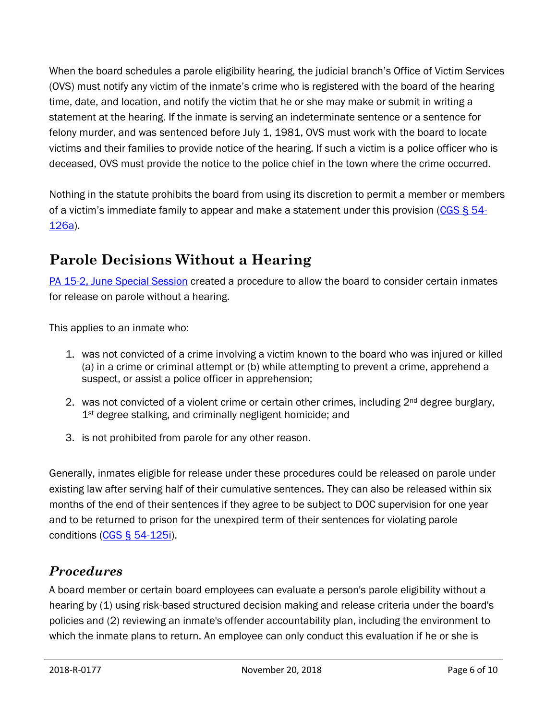When the board schedules a parole eligibility hearing, the judicial branch's Office of Victim Services (OVS) must notify any victim of the inmate's crime who is registered with the board of the hearing time, date, and location, and notify the victim that he or she may make or submit in writing a statement at the hearing. If the inmate is serving an indeterminate sentence or a sentence for felony murder, and was sentenced before July 1, 1981, OVS must work with the board to locate victims and their families to provide notice of the hearing. If such a victim is a police officer who is deceased, OVS must provide the notice to the police chief in the town where the crime occurred.

Nothing in the statute prohibits the board from using its discretion to permit a member or members of a victim's immediate family to appear and make a statement under this provision (CGS  $\S$  54-[126a\)](https://www.cga.ct.gov/current/pub/chap_961.htm#sec_54-126a).

### **Parole Decisions Without a Hearing**

PA 15-2, [June Special Session](https://www.cga.ct.gov/asp/cgabillstatus/CGAbillstatus.asp?selBillType=Bill&bill_num=7104&which_year=2015) created a procedure to allow the board to consider certain inmates for release on parole without a hearing.

This applies to an inmate who:

- 1. was not convicted of a crime involving a victim known to the board who was injured or killed (a) in a crime or criminal attempt or (b) while attempting to prevent a crime, apprehend a suspect, or assist a police officer in apprehension;
- 2. was not convicted of a violent crime or certain other crimes, including  $2<sup>nd</sup>$  degree burglary, 1<sup>st</sup> degree stalking, and criminally negligent homicide; and
- 3. is not prohibited from parole for any other reason.

Generally, inmates eligible for release under these procedures could be released on parole under existing law after serving half of their cumulative sentences. They can also be released within six months of the end of their sentences if they agree to be subject to DOC supervision for one year and to be returned to prison for the unexpired term of their sentences for violating parole conditions [\(CGS § 54-125i\)](https://www.cga.ct.gov/current/pub/chap_961.htm#sec_54-125i).

#### *Procedures*

A board member or certain board employees can evaluate a person's parole eligibility without a hearing by (1) using risk-based structured decision making and release criteria under the board's policies and (2) reviewing an inmate's offender accountability plan, including the environment to which the inmate plans to return. An employee can only conduct this evaluation if he or she is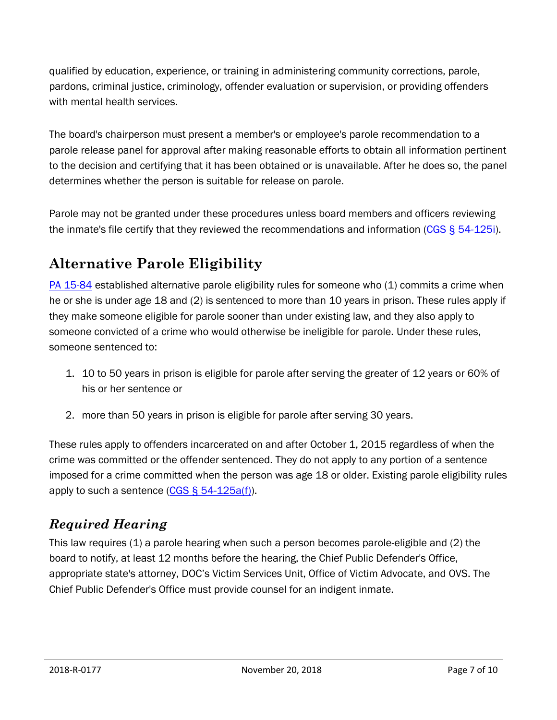qualified by education, experience, or training in administering community corrections, parole, pardons, criminal justice, criminology, offender evaluation or supervision, or providing offenders with mental health services.

The board's chairperson must present a member's or employee's parole recommendation to a parole release panel for approval after making reasonable efforts to obtain all information pertinent to the decision and certifying that it has been obtained or is unavailable. After he does so, the panel determines whether the person is suitable for release on parole.

Parole may not be granted under these procedures unless board members and officers reviewing the inmate's file certify that they reviewed the recommendations and information [\(CGS § 54-125i\)](https://www.cga.ct.gov/current/pub/chap_961.htm#sec_54-125i).

# **Alternative Parole Eligibility**

[PA 15-84](https://www.cga.ct.gov/asp/cgabillstatus/cgabillstatus.asp?selBillType=Public+Act&which_year=2015&bill_num=84) established alternative parole eligibility rules for someone who (1) commits a crime when he or she is under age 18 and (2) is sentenced to more than 10 years in prison. These rules apply if they make someone eligible for parole sooner than under existing law, and they also apply to someone convicted of a crime who would otherwise be ineligible for parole. Under these rules, someone sentenced to:

- 1. 10 to 50 years in prison is eligible for parole after serving the greater of 12 years or 60% of his or her sentence or
- 2. more than 50 years in prison is eligible for parole after serving 30 years.

These rules apply to offenders incarcerated on and after October 1, 2015 regardless of when the crime was committed or the offender sentenced. They do not apply to any portion of a sentence imposed for a crime committed when the person was age 18 or older. Existing parole eligibility rules apply to such a sentence [\(CGS § 54-125a\(f\)\)](https://www.cga.ct.gov/current/pub/chap_961.htm#sec_54-125a).

### *Required Hearing*

This law requires (1) a parole hearing when such a person becomes parole-eligible and (2) the board to notify, at least 12 months before the hearing, the Chief Public Defender's Office, appropriate state's attorney, DOC's Victim Services Unit, Office of Victim Advocate, and OVS. The Chief Public Defender's Office must provide counsel for an indigent inmate.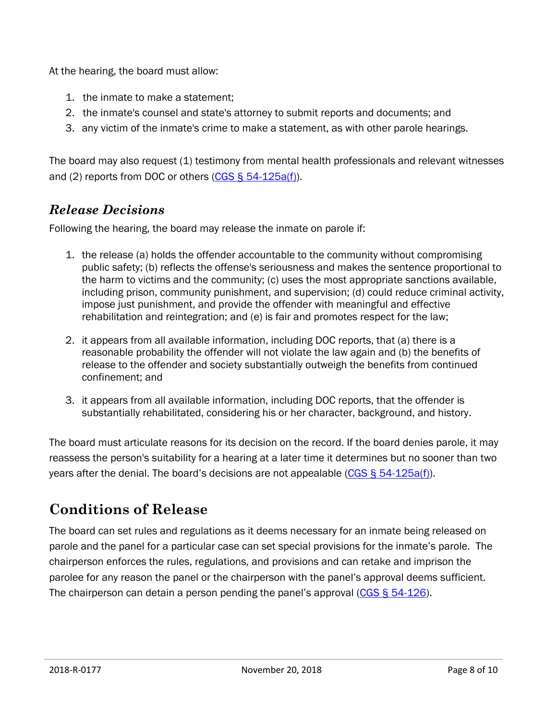At the hearing, the board must allow:

- 1. the inmate to make a statement;
- 2. the inmate's counsel and state's attorney to submit reports and documents; and
- 3. any victim of the inmate's crime to make a statement, as with other parole hearings.

The board may also request (1) testimony from mental health professionals and relevant witnesses and (2) reports from DOC or others [\(CGS § 54-125a\(f\)\)](https://www.cga.ct.gov/current/pub/chap_961.htm#sec_54-125a).

#### *Release Decisions*

Following the hearing, the board may release the inmate on parole if:

- 1. the release (a) holds the offender accountable to the community without compromising public safety; (b) reflects the offense's seriousness and makes the sentence proportional to the harm to victims and the community; (c) uses the most appropriate sanctions available, including prison, community punishment, and supervision; (d) could reduce criminal activity, impose just punishment, and provide the offender with meaningful and effective rehabilitation and reintegration; and (e) is fair and promotes respect for the law;
- 2. it appears from all available information, including DOC reports, that (a) there is a reasonable probability the offender will not violate the law again and (b) the benefits of release to the offender and society substantially outweigh the benefits from continued confinement; and
- 3. it appears from all available information, including DOC reports, that the offender is substantially rehabilitated, considering his or her character, background, and history.

The board must articulate reasons for its decision on the record. If the board denies parole, it may reassess the person's suitability for a hearing at a later time it determines but no sooner than two years after the denial. The board's decisions are not appealable ( $CGS \S 54-125a(f)$ ).

# **Conditions of Release**

The board can set rules and regulations as it deems necessary for an inmate being released on parole and the panel for a particular case can set special provisions for the inmate's parole. The chairperson enforces the rules, regulations, and provisions and can retake and imprison the parolee for any reason the panel or the chairperson with the panel's approval deems sufficient. The chairperson can detain a person pending the panel's approval  $(CGS \& 54-126)$ .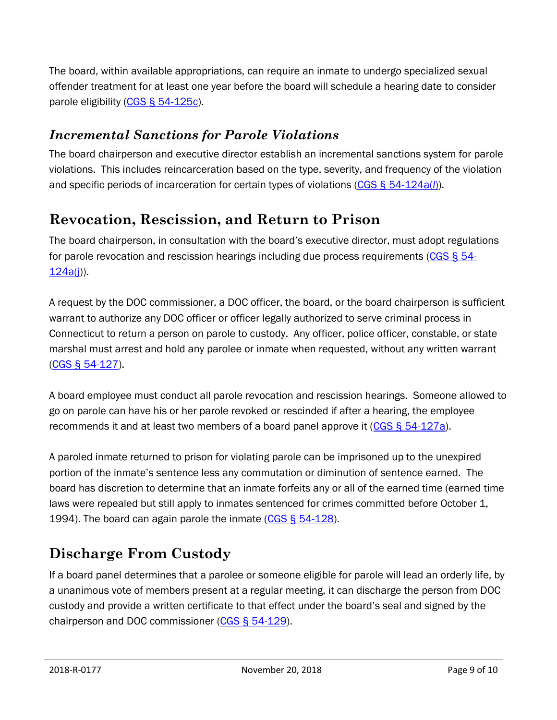The board, within available appropriations, can require an inmate to undergo specialized sexual offender treatment for at least one year before the board will schedule a hearing date to consider parole eligibility [\(CGS § 54-125c\)](https://www.cga.ct.gov/current/pub/chap_961.htm#sec_54-125c).

### *Incremental Sanctions for Parole Violations*

The board chairperson and executive director establish an incremental sanctions system for parole violations. This includes reincarceration based on the type, severity, and frequency of the violation and specific periods of incarceration for certain types of violations [\(CGS § 54-124a\(](https://www.cga.ct.gov/current/pub/chap_961.htm#sec_54-124a)*l*)).

### **Revocation, Rescission, and Return to Prison**

The board chairperson, in consultation with the board's executive director, must adopt regulations for parole revocation and rescission hearings including due process requirements [\(CGS § 54-](https://www.cga.ct.gov/current/pub/chap_961.htm#sec_54-124a)  $124a(j)$ .

A request by the DOC commissioner, a DOC officer, the board, or the board chairperson is sufficient warrant to authorize any DOC officer or officer legally authorized to serve criminal process in Connecticut to return a person on parole to custody. Any officer, police officer, constable, or state marshal must arrest and hold any parolee or inmate when requested, without any written warrant [\(CGS § 54-127\)](https://www.cga.ct.gov/current/pub/chap_961.htm#sec_54-127).

A board employee must conduct all parole revocation and rescission hearings. Someone allowed to go on parole can have his or her parole revoked or rescinded if after a hearing, the employee recommends it and at least two members of a board panel approve it [\(CGS § 54-127a\)](https://www.cga.ct.gov/current/pub/chap_961.htm#sec_54-127a).

A paroled inmate returned to prison for violating parole can be imprisoned up to the unexpired portion of the inmate's sentence less any commutation or diminution of sentence earned. The board has discretion to determine that an inmate forfeits any or all of the earned time (earned time laws were repealed but still apply to inmates sentenced for crimes committed before October 1, 1994). The board can again parole the inmate [\(CGS § 54-128\)](https://www.cga.ct.gov/current/pub/chap_961.htm#sec_54-128).

# **Discharge From Custody**

If a board panel determines that a parolee or someone eligible for parole will lead an orderly life, by a unanimous vote of members present at a regular meeting, it can discharge the person from DOC custody and provide a written certificate to that effect under the board's seal and signed by the chairperson and DOC commissioner [\(CGS § 54-129\)](https://www.cga.ct.gov/current/pub/chap_961.htm#sec_54-129).